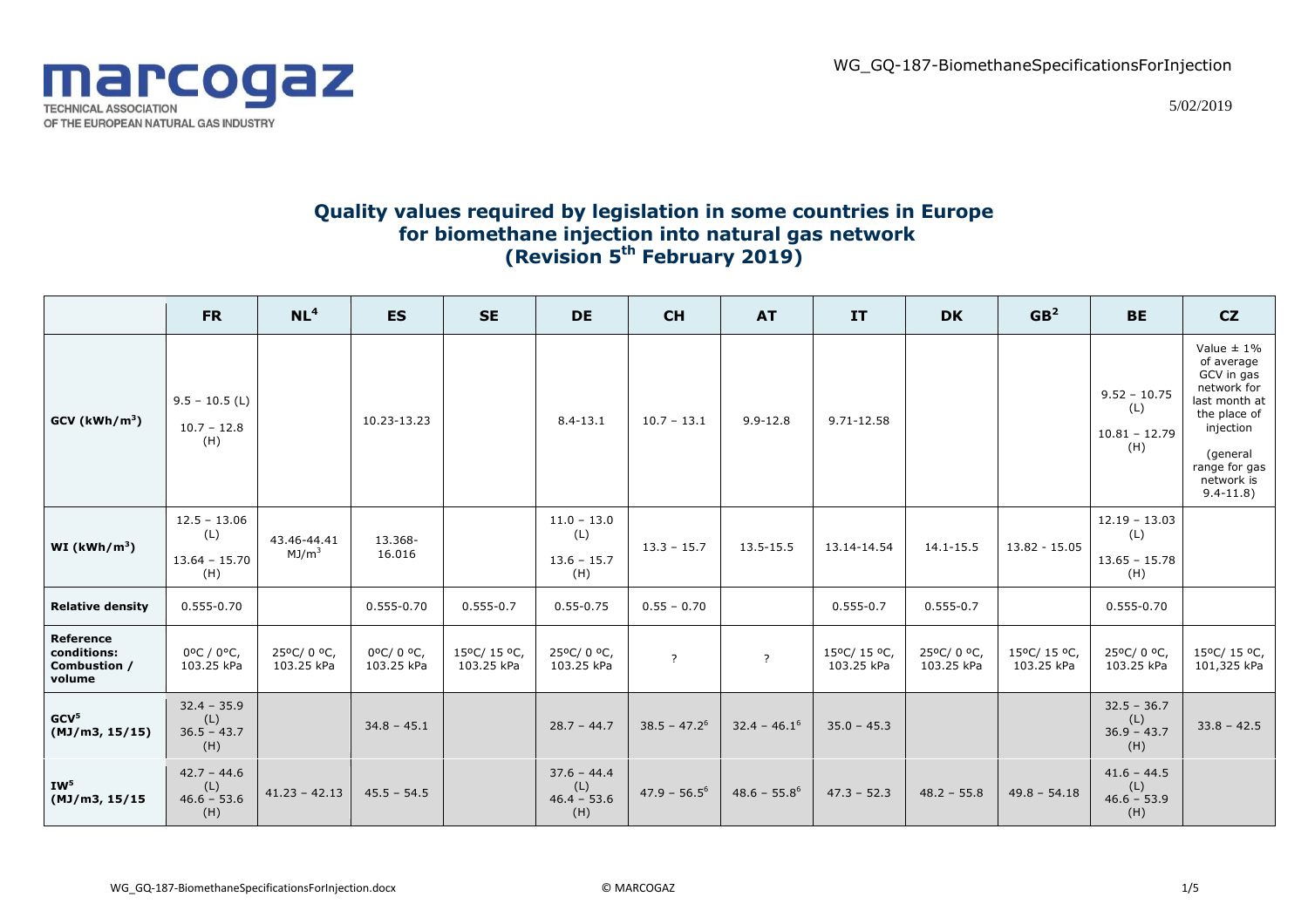WG\_GQ-187-BiomethaneSpecificationsForInjection



5/02/2019

## **Quality values required by legislation in some countries in Europe for biomethane injection into natural gas network (Revision 5th February 2019)**

|                                                    | <b>FR</b>                                       | NL <sup>4</sup>                  | <b>ES</b>              | <b>SE</b>                | <b>DE</b>                                    | <b>CH</b>       | <b>AT</b>       | IT                       | <b>DK</b>               | GB <sup>2</sup>          | <b>BE</b>                                        | CZ                                                                                                                                                                 |
|----------------------------------------------------|-------------------------------------------------|----------------------------------|------------------------|--------------------------|----------------------------------------------|-----------------|-----------------|--------------------------|-------------------------|--------------------------|--------------------------------------------------|--------------------------------------------------------------------------------------------------------------------------------------------------------------------|
| GCV (kWh/m <sup>3</sup> )                          | $9.5 - 10.5$ (L)<br>$10.7 - 12.8$<br>(H)        |                                  | 10.23-13.23            |                          | $8.4 - 13.1$                                 | $10.7 - 13.1$   | $9.9 - 12.8$    | 9.71-12.58               |                         |                          | $9.52 - 10.75$<br>(L)<br>$10.81 - 12.79$<br>(H)  | Value $\pm$ 1%<br>of average<br>GCV in gas<br>network for<br>last month at<br>the place of<br>injection<br>(general<br>range for gas<br>network is<br>$9.4 - 11.8$ |
| WI ( $kWh/m^3$ )                                   | $12.5 - 13.06$<br>(L)<br>$13.64 - 15.70$<br>(H) | 43.46-44.41<br>MJ/m <sup>3</sup> | 13.368-<br>16.016      |                          | $11.0 - 13.0$<br>(L)<br>$13.6 - 15.7$<br>(H) | $13.3 - 15.7$   | 13.5-15.5       | 13.14-14.54              | 14.1-15.5               | 13.82 - 15.05            | $12.19 - 13.03$<br>(L)<br>$13.65 - 15.78$<br>(H) |                                                                                                                                                                    |
| <b>Relative density</b>                            | $0.555 - 0.70$                                  |                                  | 0.555-0.70             | $0.555 - 0.7$            | $0.55 - 0.75$                                | $0.55 - 0.70$   |                 | $0.555 - 0.7$            | $0.555 - 0.7$           |                          | 0.555-0.70                                       |                                                                                                                                                                    |
| Reference<br>conditions:<br>Combustion /<br>volume | 0°C / 0°C,<br>103.25 kPa                        | 25°C/0°C,<br>103.25 kPa          | 0°C/0°C,<br>103.25 kPa | 15°C/15°C,<br>103.25 kPa | 25°C/0°C,<br>103.25 kPa                      | $\overline{?}$  | $\overline{?}$  | 15°C/15°C,<br>103.25 kPa | 25°C/0°C,<br>103.25 kPa | 15°C/15°C,<br>103.25 kPa | 25°C/0°C,<br>103.25 kPa                          | 15°C/ 15 °C,<br>101,325 kPa                                                                                                                                        |
| GCV <sup>5</sup><br>(MJ/m3, 15/15)                 | $32.4 - 35.9$<br>(L)<br>$36.5 - 43.7$<br>(H)    |                                  | $34.8 - 45.1$          |                          | $28.7 - 44.7$                                | $38.5 - 47.2^6$ | $32.4 - 46.16$  | $35.0 - 45.3$            |                         |                          | $32.5 - 36.7$<br>(L)<br>$36.9 - 43.7$<br>(H)     | $33.8 - 42.5$                                                                                                                                                      |
| IW <sup>5</sup><br>(MJ/m3, 15/15)                  | $42.7 - 44.6$<br>(L)<br>$46.6 - 53.6$<br>(H)    | $41.23 - 42.13$                  | $45.5 - 54.5$          |                          | $37.6 - 44.4$<br>(L)<br>$46.4 - 53.6$<br>(H) | $47.9 - 56.5^6$ | $48.6 - 55.8^6$ | $47.3 - 52.3$            | $48.2 - 55.8$           | $49.8 - 54.18$           | $41.6 - 44.5$<br>(L)<br>$46.6 - 53.9$<br>(H)     |                                                                                                                                                                    |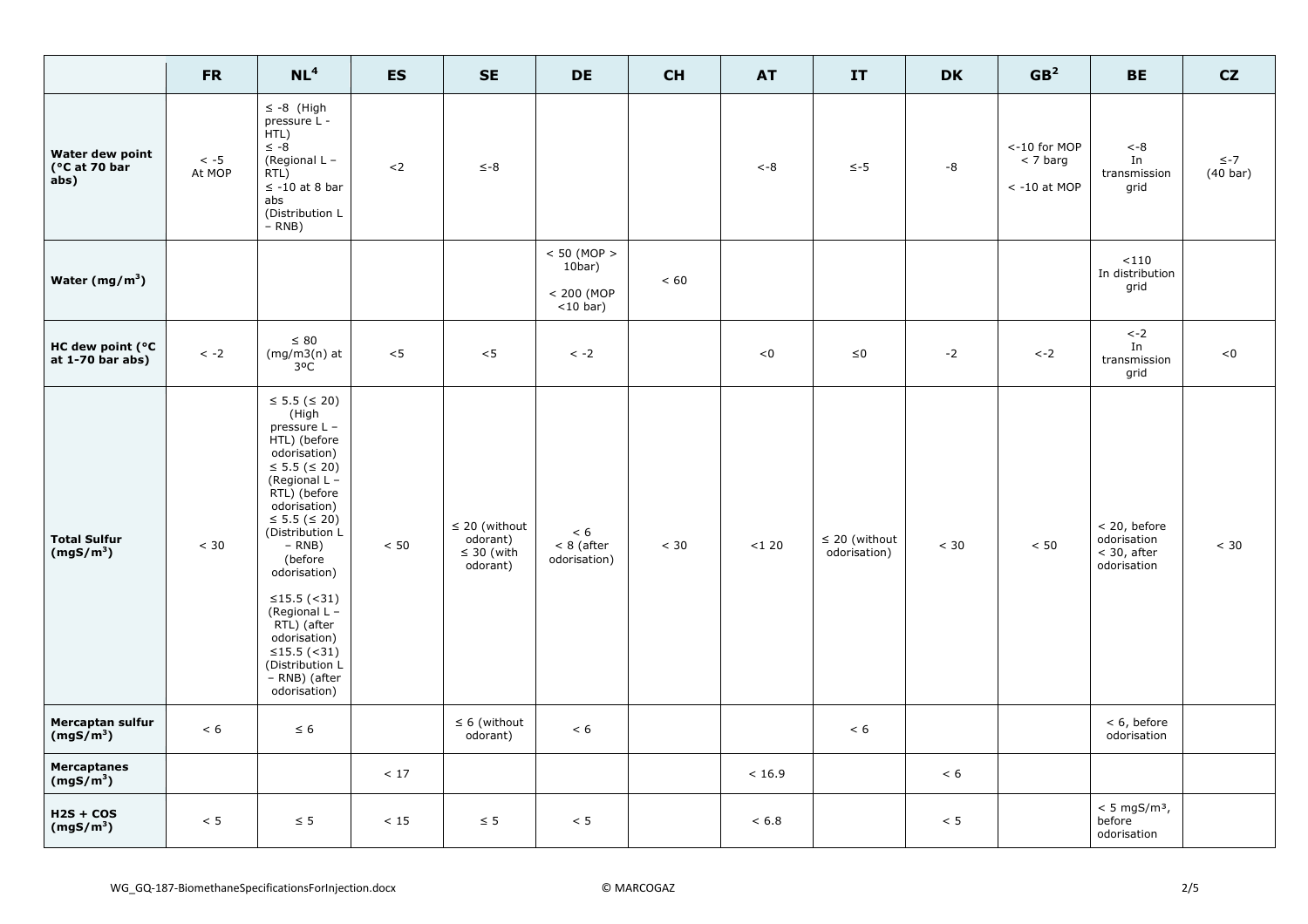|                                              | <b>FR</b>            | NL <sup>4</sup>                                                                                                                                                                                                                                                                                                                                          | <b>ES</b> | <b>SE</b>                                                     | <b>DE</b>                                                 | <b>CH</b> | <b>AT</b> | IT                                 | <b>DK</b> | GB <sup>2</sup>                              | <b>BE</b>                                                   | CZ                              |
|----------------------------------------------|----------------------|----------------------------------------------------------------------------------------------------------------------------------------------------------------------------------------------------------------------------------------------------------------------------------------------------------------------------------------------------------|-----------|---------------------------------------------------------------|-----------------------------------------------------------|-----------|-----------|------------------------------------|-----------|----------------------------------------------|-------------------------------------------------------------|---------------------------------|
| Water dew point<br>(°C at 70 bar<br>abs)     | $\leq$ -5<br>At MOP  | $\leq -8$ (High<br>pressure L -<br>HTL)<br>$\leq -8$<br>(Regional L -<br>RTL)<br>$\leq$ -10 at 8 bar<br>abs<br>(Distribution L<br>$-$ RNB)                                                                                                                                                                                                               | $2$       | $\leq -8$                                                     |                                                           |           | $< -8$    | $\le -5$                           | -8        | <-10 for MOP<br>$<$ 7 barg<br>$< -10$ at MOP | $< -8$<br>In<br>transmission<br>grid                        | $\leq -7$<br>$(40 \text{ bar})$ |
| Water $(mg/m^3)$                             |                      |                                                                                                                                                                                                                                                                                                                                                          |           |                                                               | $< 50$ (MOP $>$<br>$10bar$ )<br>< 200 (MOP<br>$<$ 10 bar) | < 60      |           |                                    |           |                                              | < 110<br>In distribution<br>grid                            |                                 |
| HC dew point (°C<br>at $1-70$ bar abs)       | $\langle -2 \rangle$ | $\leq 80$<br>$(mg/m3(n)$ at<br>$3^oC$                                                                                                                                                                                                                                                                                                                    | $<$ 5     | $<$ 5                                                         | $\langle -2 \rangle$                                      |           | < 0       | ${\leq}0$                          | $-2$      | $\leftarrow$ 2                               | $\mathtt{<-2}$<br>In<br>transmission<br>grid                | < 0                             |
| <b>Total Sulfur</b><br>(mgS/m <sup>3</sup> ) | $< 30$               | ≤ 5.5 (≤ 20)<br>(High<br>pressure L -<br>HTL) (before<br>odorisation)<br>≤ 5.5 (≤ 20)<br>(Regional L -<br>RTL) (before<br>odorisation)<br>≤ 5.5 (≤ 20)<br>(Distribution L<br>$- RNB)$<br>(before<br>odorisation)<br>≤15.5 $($ < 31)<br>(Regional $L -$<br>RTL) (after<br>odorisation)<br>≤15.5 (<31)<br>(Distribution L<br>- RNB) (after<br>odorisation) | < 50      | $\leq$ 20 (without<br>odorant)<br>$\leq 30$ (with<br>odorant) | < 6<br>$< 8$ (after<br>odorisation)                       | < 30      | $<120$    | $\leq$ 20 (without<br>odorisation) | $< 30$    | $< 50$                                       | < 20, before<br>odorisation<br>$<$ 30, after<br>odorisation | $< 30$                          |
| Mercaptan sulfur<br>(mgS/m <sup>3</sup> )    | $< 6$                | $\leq 6$                                                                                                                                                                                                                                                                                                                                                 |           | $\leq 6$ (without<br>odorant)                                 | < 6                                                       |           |           | < 6                                |           |                                              | $< 6$ , before<br>odorisation                               |                                 |
| <b>Mercaptanes</b><br>(mgS/m <sup>3</sup> )  |                      |                                                                                                                                                                                                                                                                                                                                                          | < 17      |                                                               |                                                           |           | < 16.9    |                                    | < 6       |                                              |                                                             |                                 |
| $H2S + COS$<br>(mgS/m <sup>3</sup> )         | < 5                  | $\leq$ 5                                                                                                                                                                                                                                                                                                                                                 | < 15      | $\leq 5$                                                      | < 5                                                       |           | < 6.8     |                                    | < 5       |                                              | $< 5$ mgS/m <sup>3</sup> ,<br>before<br>odorisation         |                                 |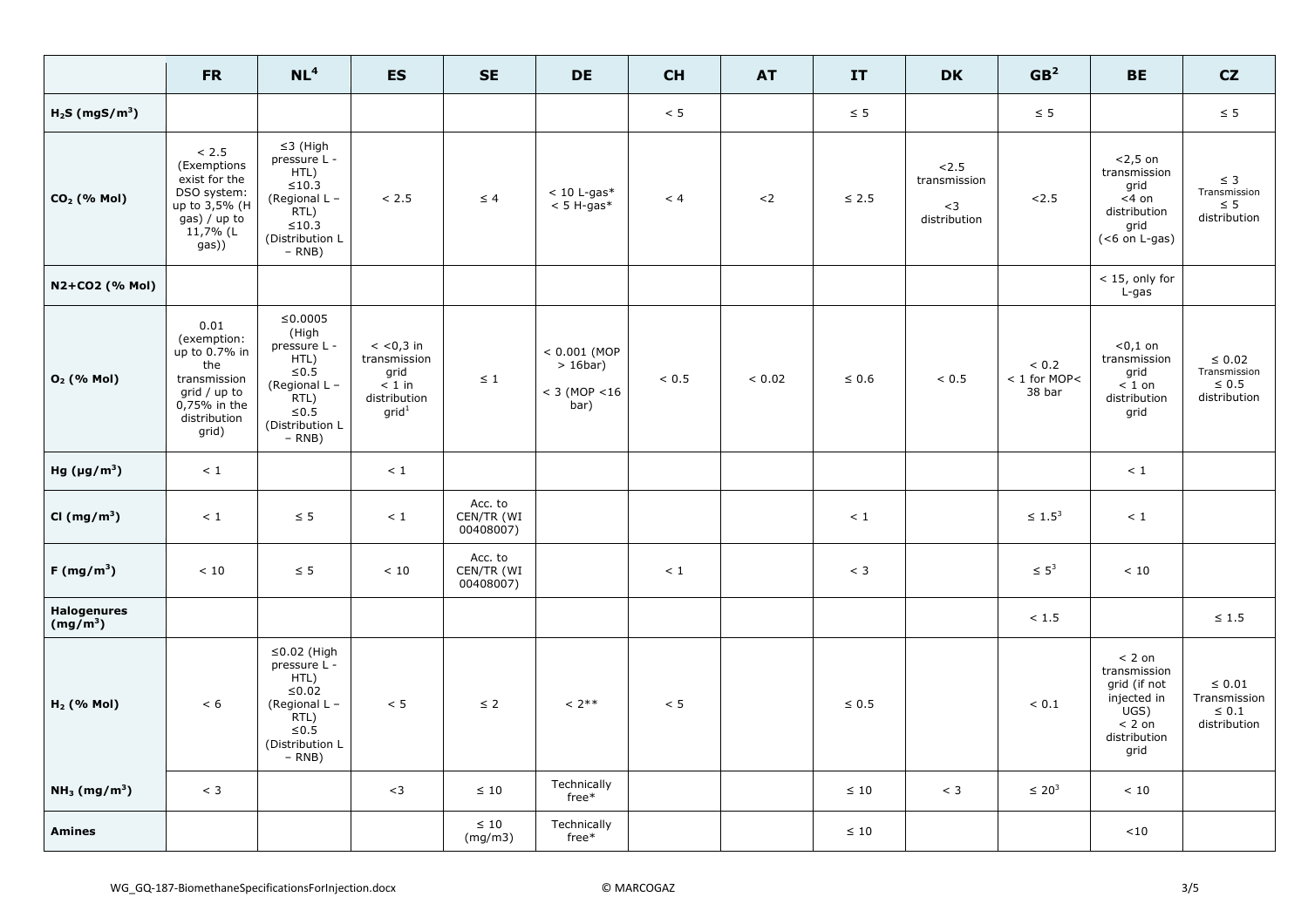|                                      | <b>FR</b>                                                                                                            | NL <sup>4</sup>                                                                                                                     | <b>ES</b>                                                                               | <b>SE</b>                          | <b>DE</b>                                                  | <b>CH</b> | <b>AT</b> | IT         | <b>DK</b>                                    | GB <sup>2</sup>                      | <b>BE</b>                                                                                           | CZ                                                        |
|--------------------------------------|----------------------------------------------------------------------------------------------------------------------|-------------------------------------------------------------------------------------------------------------------------------------|-----------------------------------------------------------------------------------------|------------------------------------|------------------------------------------------------------|-----------|-----------|------------|----------------------------------------------|--------------------------------------|-----------------------------------------------------------------------------------------------------|-----------------------------------------------------------|
| $H2S$ (mgS/m <sup>3</sup> )          |                                                                                                                      |                                                                                                                                     |                                                                                         |                                    |                                                            | < 5       |           | $\leq$ 5   |                                              | $\leq$ 5                             |                                                                                                     | $\leq$ 5                                                  |
| CO <sub>2</sub> (% Mol)              | < 2.5<br>(Exemptions<br>exist for the<br>DSO system:<br>up to 3,5% (H<br>gas) / up to<br>11,7% (L<br>gas))           | $\leq$ 3 (High<br>pressure L -<br>HTL)<br>$\leq 10.3$<br>(Regional L -<br>$RTL$ )<br>$\leq 10.3$<br>(Distribution L<br>$-$ RNB)     | < 2.5                                                                                   | $\leq 4$                           | $< 10$ L-gas*<br>$< 5$ H-gas*                              | < 4       | ${<}\,2$  | $\leq 2.5$ | 2.5<br>transmission<br>$<$ 3<br>distribution | 2.5                                  | $<$ 2,5 on<br>transmission<br>grid<br>$<$ 4 on<br>distribution<br>grid<br>$(6$ on L-gas)            | $\leq$ 3<br>Transmission<br>$\leq 5$<br>distribution      |
| N2+CO2 (% Mol)                       |                                                                                                                      |                                                                                                                                     |                                                                                         |                                    |                                                            |           |           |            |                                              |                                      | $<$ 15, only for<br>L-gas                                                                           |                                                           |
| O <sub>2</sub> (% Mol)               | 0.01<br>(exemption:<br>up to 0.7% in<br>the<br>transmission<br>grid / up to<br>0,75% in the<br>distribution<br>grid) | $≤0.0005$<br>(High<br>pressure L -<br>HTL)<br>${\leq}0.5$<br>(Regional L -<br>$F$ RTL)<br>$\leq 0.5$<br>(Distribution L<br>$- RNB)$ | $<$ <0,3 in<br>transmission<br>grid<br>$\sim 1$ in<br>distribution<br>grid <sup>1</sup> | $\leq 1$                           | $< 0.001$ (MOP<br>$> 16$ bar)<br>$< 3$ (MOP $< 16$<br>bar) | < 0.5     | < 0.02    | $\leq 0.6$ | ${}_{0.5}$                                   | < 0.2<br>$< 1$ for MOP $<$<br>38 bar | $0,1$ on<br>transmission<br>grid<br>$\sim$ 1 on<br>distribution<br>grid                             | $\leq 0.02$<br>Transmission<br>$\leq 0.5$<br>distribution |
| Hg $(\mu g/m^3)$                     | < 1                                                                                                                  |                                                                                                                                     | $\leq 1$                                                                                |                                    |                                                            |           |           |            |                                              |                                      | < 1                                                                                                 |                                                           |
| CI $(mg/m^3)$                        | < 1                                                                                                                  | $\leq$ 5                                                                                                                            | $<1\,$                                                                                  | Acc. to<br>CEN/TR (WI<br>00408007) |                                                            |           |           | $\leq 1$   |                                              | $\leq 1.5^3$                         | $\leq 1$                                                                                            |                                                           |
| $F(mg/m^3)$                          | < 10                                                                                                                 | $\leq$ 5                                                                                                                            | < 10                                                                                    | Acc. to<br>CEN/TR (WI<br>00408007) |                                                            | < 1       |           | $<$ 3      |                                              | $\leq 5^3$                           | < 10                                                                                                |                                                           |
| <b>Halogenures</b><br>$(mg/m^3)$     |                                                                                                                      |                                                                                                                                     |                                                                                         |                                    |                                                            |           |           |            |                                              | < 1.5                                |                                                                                                     | $\leq 1.5$                                                |
| $H2$ (% Mol)                         | < 6                                                                                                                  | $\leq$ 0.02 (High<br>pressure L -<br>HTL)<br>${\leq}0.02$<br>(Regional L-<br>$RTL$ )<br>$\leq 0.5$<br>(Distribution L<br>$- RNB)$   | < 5                                                                                     | $\leq 2$                           | $< 2***$                                                   | < 5       |           | $\leq 0.5$ |                                              | < 0.1                                | $< 2$ on<br>transmission<br>grid (if not<br>injected in<br>UGS)<br>$< 2$ on<br>distribution<br>grid | $\leq 0.01$<br>Transmission<br>$\leq 0.1$<br>distribution |
| NH <sub>3</sub> (mg/m <sup>3</sup> ) | $<$ 3                                                                                                                |                                                                                                                                     | $<$ 3                                                                                   | $\leq 10$                          | Technically<br>free*                                       |           |           | $\leq 10$  | $<$ 3                                        | $\leq 20^3$                          | < 10                                                                                                |                                                           |
| <b>Amines</b>                        |                                                                                                                      |                                                                                                                                     |                                                                                         | $\leq 10$<br>(mg/m3)               | Technically<br>$free*$                                     |           |           | $\leq 10$  |                                              |                                      | $<$ 10                                                                                              |                                                           |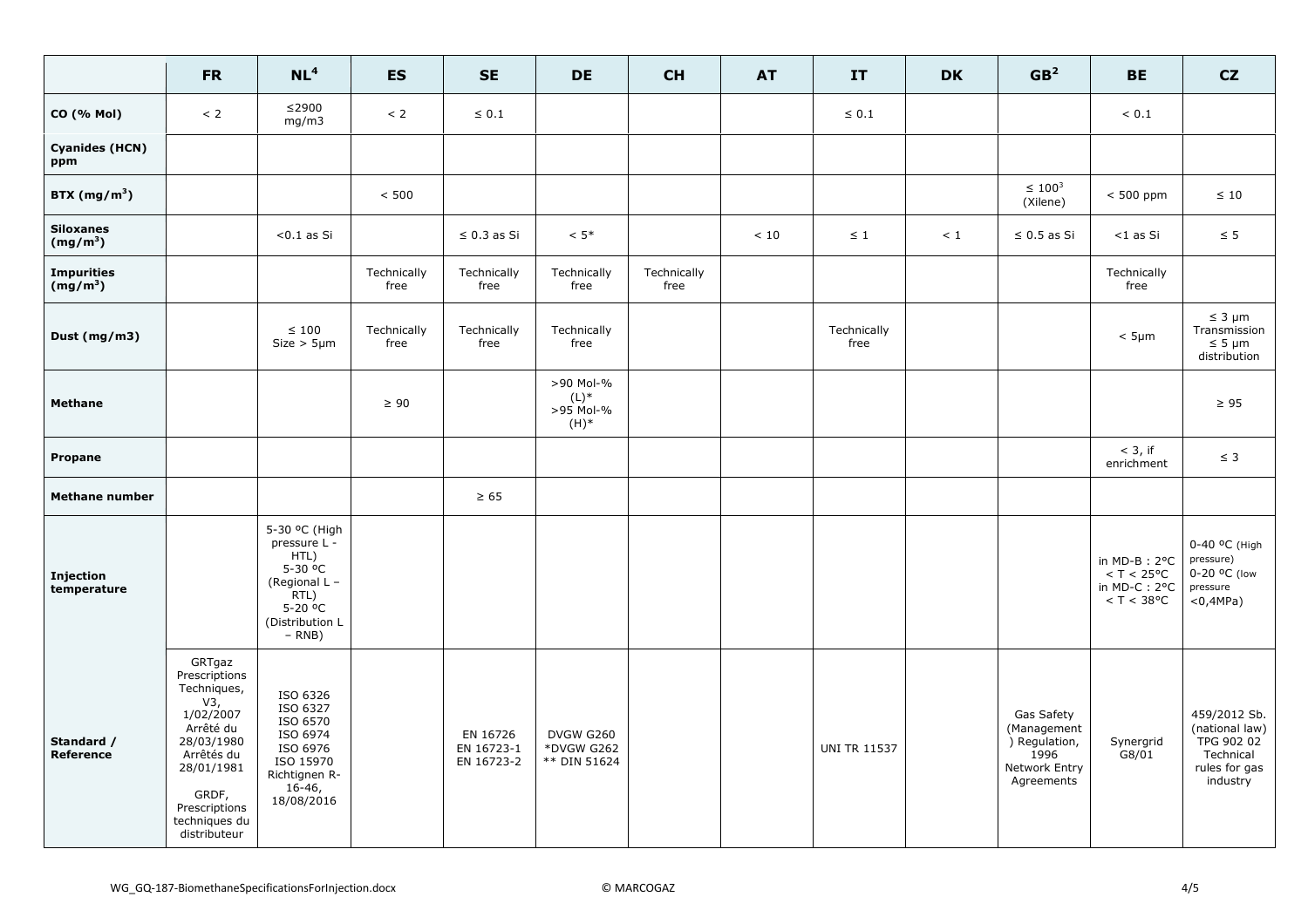|                                 | <b>FR</b>                                                                                                                                                                    | NL <sup>4</sup>                                                                                                                     | <b>ES</b>           | <b>SE</b>                            | <b>DE</b>                                    | <b>CH</b>           | <b>AT</b> | IT                  | <b>DK</b> | GB <sup>2</sup>                                                                   | <b>BE</b>                                                                              | CZ                                                                                     |
|---------------------------------|------------------------------------------------------------------------------------------------------------------------------------------------------------------------------|-------------------------------------------------------------------------------------------------------------------------------------|---------------------|--------------------------------------|----------------------------------------------|---------------------|-----------|---------------------|-----------|-----------------------------------------------------------------------------------|----------------------------------------------------------------------------------------|----------------------------------------------------------------------------------------|
| <b>CO</b> (% Mol)               | < 2                                                                                                                                                                          | $≤$ 2900<br>mg/m3                                                                                                                   | < 2                 | $\leq 0.1$                           |                                              |                     |           | $\leq 0.1$          |           |                                                                                   | ${}< 0.1$                                                                              |                                                                                        |
| <b>Cyanides (HCN)</b><br>ppm    |                                                                                                                                                                              |                                                                                                                                     |                     |                                      |                                              |                     |           |                     |           |                                                                                   |                                                                                        |                                                                                        |
| BTX $(mg/m^3)$                  |                                                                                                                                                                              |                                                                                                                                     | $< 500$             |                                      |                                              |                     |           |                     |           | $\leq 100^3$<br>(Xilene)                                                          | $< 500$ ppm                                                                            | $\leq 10$                                                                              |
| <b>Siloxanes</b><br>$(mg/m^3)$  |                                                                                                                                                                              | $< 0.1$ as Si                                                                                                                       |                     | $\leq$ 0.3 as Si                     | $< 5*$                                       |                     | < 10      | $\leq 1$            | < 1       | $\leq 0.5$ as Si                                                                  | <1 as Si                                                                               | $\leq$ 5                                                                               |
| <b>Impurities</b><br>$(mg/m^3)$ |                                                                                                                                                                              |                                                                                                                                     | Technically<br>free | Technically<br>free                  | Technically<br>free                          | Technically<br>free |           |                     |           |                                                                                   | Technically<br>free                                                                    |                                                                                        |
| Dust $(mg/m3)$                  |                                                                                                                                                                              | $\leq 100$<br>$Size > 5 \mu m$                                                                                                      | Technically<br>free | Technically<br>free                  | Technically<br>free                          |                     |           | Technically<br>free |           |                                                                                   | $< 5 \mu m$                                                                            | $\leq$ 3 µm<br>Transmission<br>$\leq 5 \mu m$<br>distribution                          |
| <b>Methane</b>                  |                                                                                                                                                                              |                                                                                                                                     | $\geq 90$           |                                      | >90 Mol-%<br>$(L)^*$<br>>95 Mol-%<br>$(H)^*$ |                     |           |                     |           |                                                                                   |                                                                                        | $\geq 95$                                                                              |
| Propane                         |                                                                                                                                                                              |                                                                                                                                     |                     |                                      |                                              |                     |           |                     |           |                                                                                   | $<$ 3, if<br>enrichment                                                                | $\leq$ 3                                                                               |
| <b>Methane number</b>           |                                                                                                                                                                              |                                                                                                                                     |                     | $\geq 65$                            |                                              |                     |           |                     |           |                                                                                   |                                                                                        |                                                                                        |
| <b>Injection</b><br>temperature |                                                                                                                                                                              | 5-30 °C (High<br>pressure L -<br>HTL)<br>5-30 °C<br>(Regional L -<br>RTL)<br>$5 - 20$ <sup>o</sup> C<br>(Distribution L<br>$- RNB)$ |                     |                                      |                                              |                     |           |                     |           |                                                                                   | in $MD-B$ : $2^{\circ}C$<br>$<$ T $<$ 25°C<br>in MD-C: $2^{\circ}$ C<br>$<$ T $<$ 38°C | 0-40 °C (High<br>pressure)<br>0-20 °C (low<br>pressure<br>$<$ 0,4MPa)                  |
| Standard /<br>Reference         | GRTgaz<br>Prescriptions<br>Techniques,<br>V3,<br>1/02/2007<br>Arrêté du<br>28/03/1980<br>Arrêtés du<br>28/01/1981<br>GRDF,<br>Prescriptions<br>techniques du<br>distributeur | ISO 6326<br>ISO 6327<br>ISO 6570<br>ISO 6974<br>ISO 6976<br>ISO 15970<br>Richtignen R-<br>$16-46,$<br>18/08/2016                    |                     | EN 16726<br>EN 16723-1<br>EN 16723-2 | DVGW G260<br>*DVGW G262<br>** DIN 51624      |                     |           | <b>UNI TR 11537</b> |           | Gas Safety<br>(Management<br>) Regulation,<br>1996<br>Network Entry<br>Agreements | Synergrid<br>G8/01                                                                     | 459/2012 Sb.<br>(national law)<br>TPG 902 02<br>Technical<br>rules for gas<br>industry |